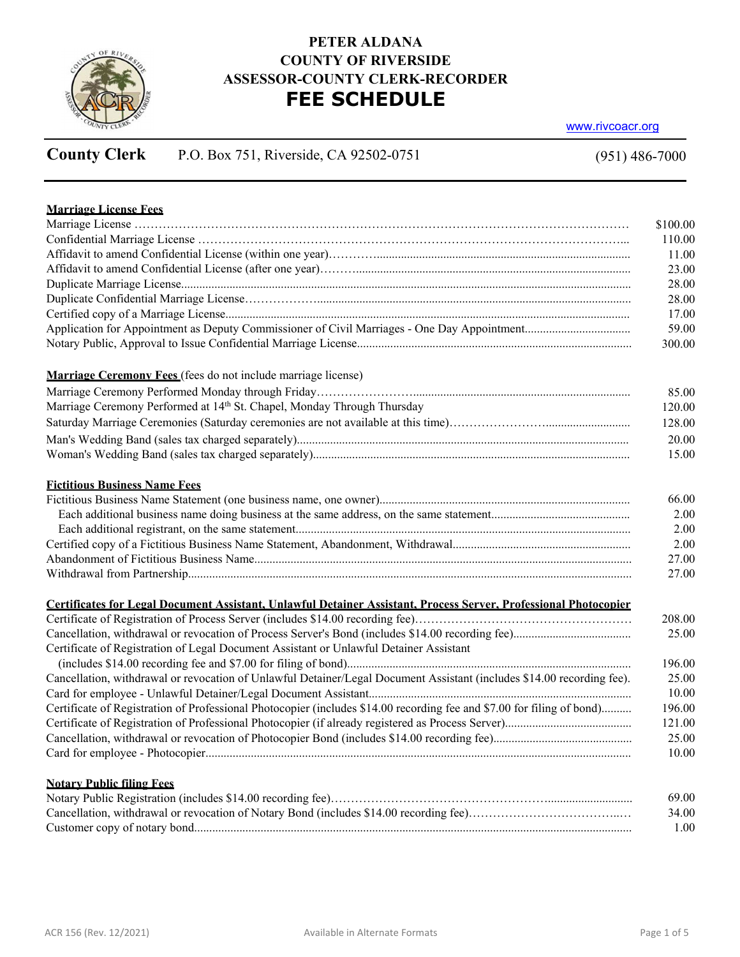

## **PETER ALDANA COUNTY OF RIVERSIDE ASSESSOR-COUNTY CLERK-RECORDER FEE SCHEDULE**

www.rivcoacr.org

# **County Clerk** P.O. Box 751, Riverside, CA 92502-0751

(951) 486-7000

| <b>Marriage License Fees</b>                                                                                           |
|------------------------------------------------------------------------------------------------------------------------|
|                                                                                                                        |
|                                                                                                                        |
|                                                                                                                        |
|                                                                                                                        |
|                                                                                                                        |
|                                                                                                                        |
|                                                                                                                        |
|                                                                                                                        |
|                                                                                                                        |
| Marriage Ceremony Fees (fees do not include marriage license)                                                          |
|                                                                                                                        |
| Marriage Ceremony Performed at 14 <sup>th</sup> St. Chapel, Monday Through Thursday                                    |
|                                                                                                                        |
|                                                                                                                        |
|                                                                                                                        |
|                                                                                                                        |
| <b>Fictitious Business Name Fees</b>                                                                                   |
|                                                                                                                        |
|                                                                                                                        |
|                                                                                                                        |
|                                                                                                                        |
|                                                                                                                        |
|                                                                                                                        |
| Certificates for Legal Document Assistant, Unlawful Detainer Assistant, Process Server, Professional Photocopier       |
|                                                                                                                        |
|                                                                                                                        |
| Certificate of Registration of Legal Document Assistant or Unlawful Detainer Assistant                                 |
|                                                                                                                        |
| Cancellation, withdrawal or revocation of Unlawful Detainer/Legal Document Assistant (includes \$14.00 recording fee). |
|                                                                                                                        |
| Certificate of Registration of Professional Photocopier (includes \$14.00 recording fee and \$7.00 for filing of bond) |
|                                                                                                                        |
|                                                                                                                        |
|                                                                                                                        |
|                                                                                                                        |
| <b>Notary Public filing Fees</b>                                                                                       |
|                                                                                                                        |

Customer copy of notary bond................................................................................................................................................. 1.00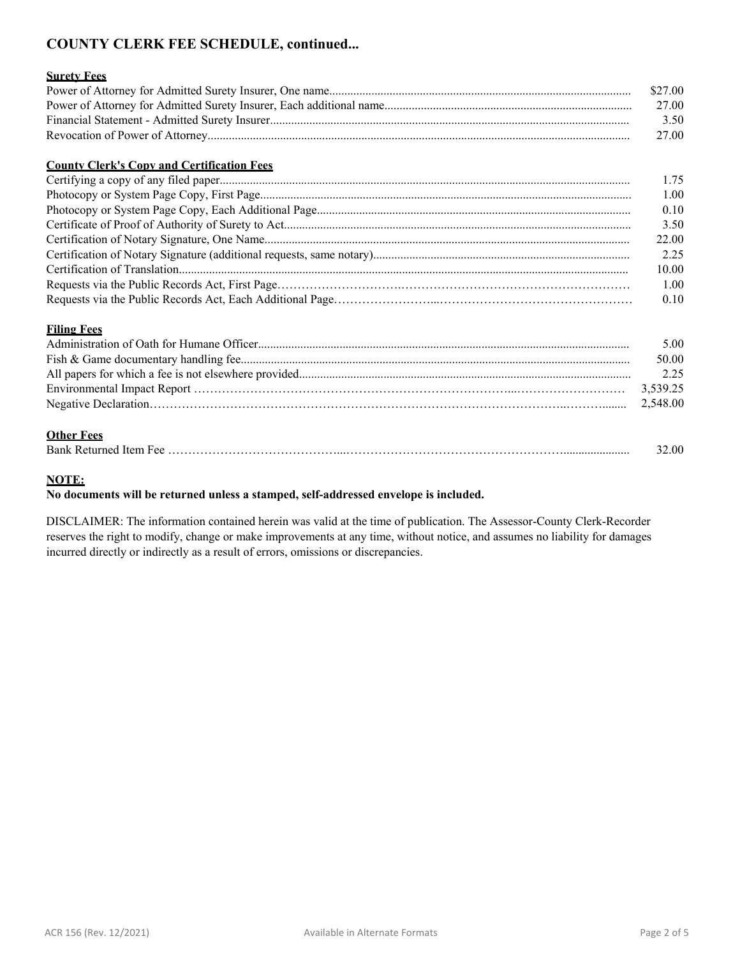## **COUNTY CLERK FEE SCHEDULE, continued...**

#### **Surety Fees**

| \$27.00 |
|---------|
| 27.00   |
| 3.50    |
| 27.00   |

#### **County Clerk's Copy and Certification Fees**

| 1.75  |
|-------|
| 1.00  |
| 0.10  |
| 3.50  |
| 22.00 |
| 2.25  |
| 10.00 |
| 1.00  |
| 0.10  |

#### **Filing Fees**

| 5.00  |
|-------|
| 50.00 |
| 2.25  |
|       |
|       |
|       |

#### **Other Fees**

| Bank<br>" кешпест. | 2.00 |
|--------------------|------|
|--------------------|------|

#### **NOTE:**

#### **No documents will be returned unless a stamped, self-addressed envelope is included.**

DISCLAIMER: The information contained herein was valid at the time of publication. The Assessor-County Clerk-Recorder reserves the right to modify, change or make improvements at any time, without notice, and assumes no liability for damages incurred directly or indirectly as a result of errors, omissions or discrepancies.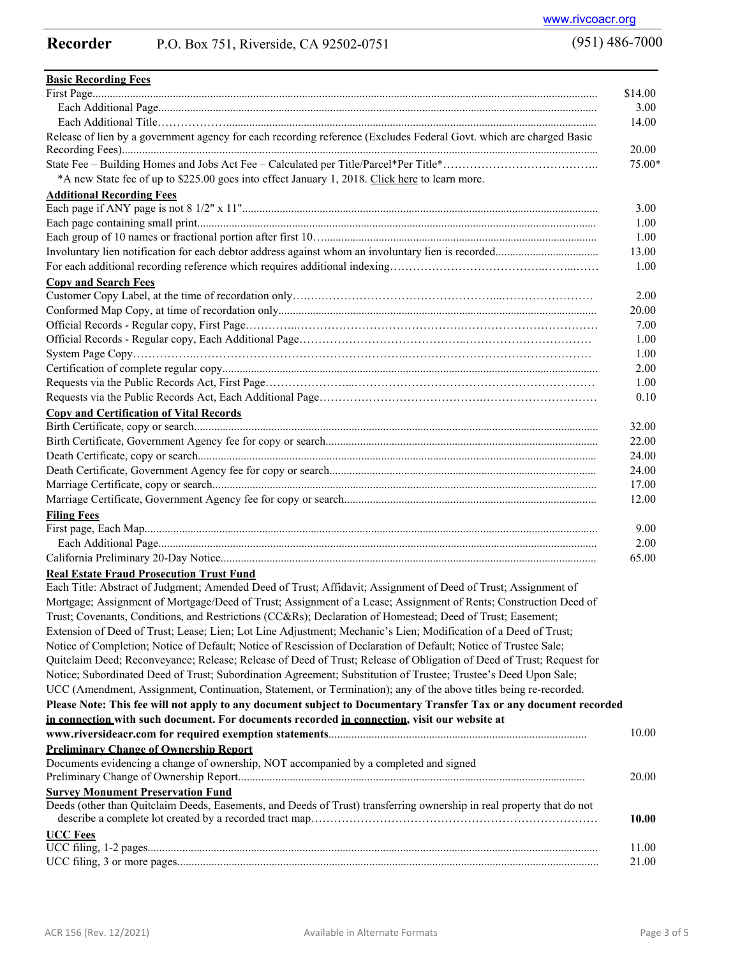### **Recorder** P.O. Box 751, Riverside, CA 92502-0751

**Basic Recording Fees** First Page................................................................................................................................................................................ \$14.00 Each Additional Page......................................................................................................................................................... 3.00 Each Additional Title………………................................................................................................................................. 14.00 Release of lien by a government agency for each recording reference (Excludes Federal Govt. which are charged Basic Recording Fees)...................................................................................................................................................................... 20.00 State Fee – Building Homes and Jobs Act Fee – Calculated per Title/Parcel\*Per Title\*………………………………….. 75.00\* \*A new State fee of up to \$225.00 goes into effect January 1, 2018. [Click here](https://www.asrclkrec.com/media/Recording_Fee_Notice_Jan_1) to learn more. **Additional Recording Fees** Each page if ANY page is not 8 1/2" x 11"............................................................................................................................ 3.00 Each page containing small print........................................................................................................................................... 1.00 Each group of 10 names or fractional portion after first 10…............................................................................................... 1.00 Involuntary lien notification for each debtor address against whom an involuntary lien is recorded.................................... 13.00 For each additional recording reference which requires additional indexing…………………………………..……...…… 1.00 **Copy and Search Fees** Customer Copy Label, at the time of recordation only….….………………………………………...…………………… 2.00 Conformed Map Copy, at time of recordation only............................................................................................................... 20.00 Official Records - Regular copy, First Page…………..…………………………………….……………………………… 7.00 Official Records - Regular copy, Each Additional Page……………………………………..…………………………… 1.00 System Page Copy……………..………………………………………………..………………………………………… 1.00 Certification of complete regular copy................................................................................................................................... 2.00 Requests via the Public Records Act, First Page…………………...……………………………………………………… 1.00 Requests via the Public Records Act, Each Additional Page…………………………………….………………………… 0.10 **Copy and Certification of Vital Records** Birth Certificate, copy or search............................................................................................................................................. 32.00 Birth Certificate, Government Agency fee for copy or search............................................................................................... 22.00 Death Certificate, copy or search........................................................................................................................................... 24.00 Death Certificate, Government Agency fee for copy or search............................................................................................. 24.00 Marriage Certificate, copy or search...................................................................................................................................... 17.00 Marriage Certificate, Government Agency fee for copy or search........................................................................................ 12.00 **Filing Fees** First page, Each Map.............................................................................................................................................................. 9.00 Each Additional Page......................................................................................................................................................... 2.00 California Preliminary 20-Day Notice................................................................................................................................... 65.00 **Real Estate Fraud Prosecution Trust Fund** Each Title: Abstract of Judgment; Amended Deed of Trust; Affidavit; Assignment of Deed of Trust; Assignment of Mortgage; Assignment of Mortgage/Deed of Trust; Assignment of a Lease; Assignment of Rents; Construction Deed of Trust; Covenants, Conditions, and Restrictions (CC&Rs); Declaration of Homestead; Deed of Trust; Easement; Extension of Deed of Trust; Lease; Lien; Lot Line Adjustment; Mechanic's Lien; Modification of a Deed of Trust; Notice of Completion; Notice of Default; Notice of Rescission of Declaration of Default; Notice of Trustee Sale; Quitclaim Deed; Reconveyance; Release; Release of Deed of Trust; Release of Obligation of Deed of Trust; Request for Notice; Subordinated Deed of Trust; Subordination Agreement; Substitution of Trustee; Trustee's Deed Upon Sale; UCC (Amendment, Assignment, Continuation, Statement, or Termination); any of the above titles being re-recorded. **Please Note: This fee will not apply to any document subject to Documentary Transfer Tax or any document recorded in connection with such document. For documents recorded in connection, visit our website at www.riversideacr.com for required exemption statements**.......................................................................................... **Preliminary Change of Ownership Report** Documents evidencing a change of ownership, NOT accompanied by a completed and signed 10.00 Preliminary Change of Ownership Report......................................................................................................................... 20.00 **Survey Monument Preservation Fund** Deeds (other than Quitclaim Deeds, Easements, and Deeds of Trust) transferring ownership in real property that do not describe a complete lot created by a recorded tract map………………………………………………………………… **UCC Fees 10.00**  UCC filing, 1-2 pages............................................................................................................................................................. 11.00 UCC filing, 3 or more pages................................................................................................................................................... 21.00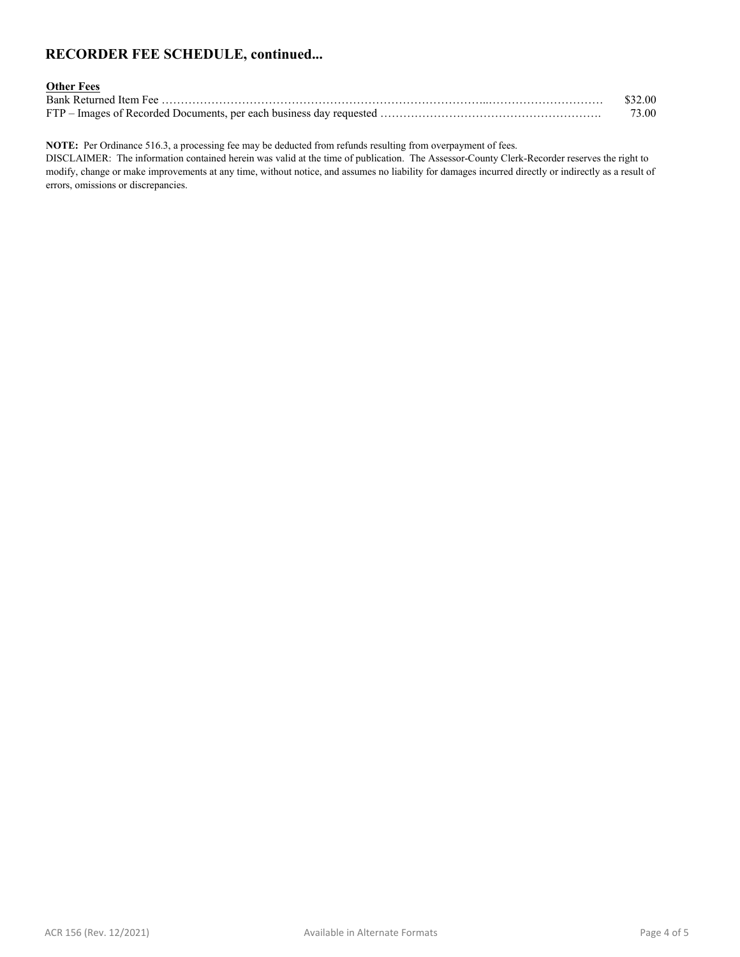## **RECORDER FEE SCHEDULE, continued...**

| <b>Other Fees</b> |         |
|-------------------|---------|
|                   | \$32.00 |
|                   | 73.00-  |

**NOTE:** Per Ordinance 516.3, a processing fee may be deducted from refunds resulting from overpayment of fees.

DISCLAIMER: The information contained herein was valid at the time of publication. The Assessor-County Clerk-Recorder reserves the right to modify, change or make improvements at any time, without notice, and assumes no liability for damages incurred directly or indirectly as a result of errors, omissions or discrepancies.